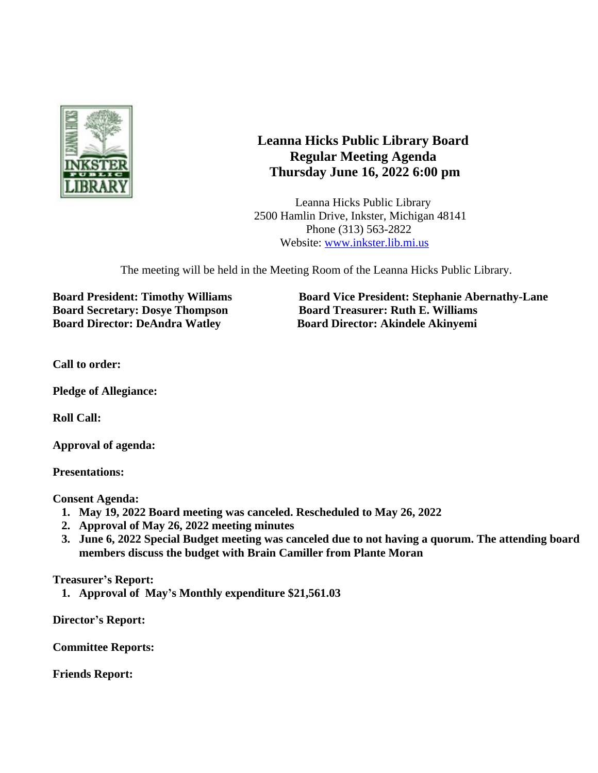

## **Leanna Hicks Public Library Board Regular Meeting Agenda Thursday June 16, 2022 6:00 pm**

Leanna Hicks Public Library 2500 Hamlin Drive, Inkster, Michigan 48141 Phone (313) 563-2822 Website: [www.inkster.lib.mi.us](http://www.inkster.lib.mi.us)

The meeting will be held in the Meeting Room of the Leanna Hicks Public Library.

**Board Secretary: Dosye Thompson Board Treasurer: Ruth E. Williams Board Director: DeAndra Watley Board Director: Akindele Akinyemi**

**Board President: Timothy Williams Board Vice President: Stephanie Abernathy-Lane**

**Call to order:**

**Pledge of Allegiance:**

**Roll Call:**

**Approval of agenda:**

**Presentations:**

**Consent Agenda:**

- **1. May 19, 2022 Board meeting was canceled. Rescheduled to May 26, 2022**
- **2. Approval of May 26, 2022 meeting minutes**
- **3. June 6, 2022 Special Budget meeting was canceled due to not having a quorum. The attending board members discuss the budget with Brain Camiller from Plante Moran**

**Treasurer's Report:**

**1. Approval of May's Monthly expenditure \$21,561.03**

**Director's Report:**

**Committee Reports:**

**Friends Report:**